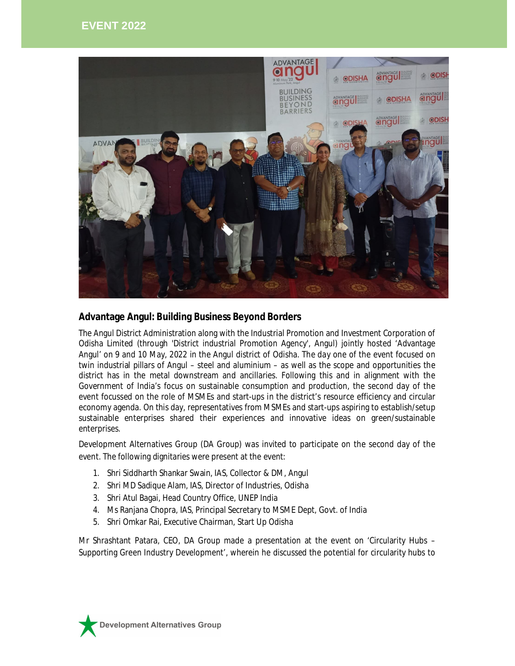

## **Advantage Angul: Building Business Beyond Borders**

The Angul District Administration along with the Industrial Promotion and Investment Corporation of Odisha Limited (through 'District industrial Promotion Agency', Angul) jointly hosted 'Advantage Angul' on 9 and 10 May, 2022 in the Angul district of Odisha. The day one of the event focused on twin industrial pillars of Angul – steel and aluminium – as well as the scope and opportunities the district has in the metal downstream and ancillaries. Following this and in alignment with the Government of India's focus on sustainable consumption and production, the second day of the event focussed on the role of MSMEs and start-ups in the district's resource efficiency and circular economy agenda. On this day, representatives from MSMEs and start-ups aspiring to establish/setup sustainable enterprises shared their experiences and innovative ideas on green/sustainable enterprises.

Development Alternatives Group (DA Group) was invited to participate on the second day of the event. The following dignitaries were present at the event:

- 1. Shri Siddharth Shankar Swain, IAS, Collector & DM, Angul
- 2. Shri MD Sadique Alam, IAS, Director of Industries, Odisha
- 3. Shri Atul Bagai, Head Country Office, UNEP India
- 4. Ms Ranjana Chopra, IAS, Principal Secretary to MSME Dept, Govt. of India
- 5. Shri Omkar Rai, Executive Chairman, Start Up Odisha

Mr Shrashtant Patara, CEO, DA Group made a presentation at the event on 'Circularity Hubs – Supporting Green Industry Development', wherein he discussed the potential for circularity hubs to